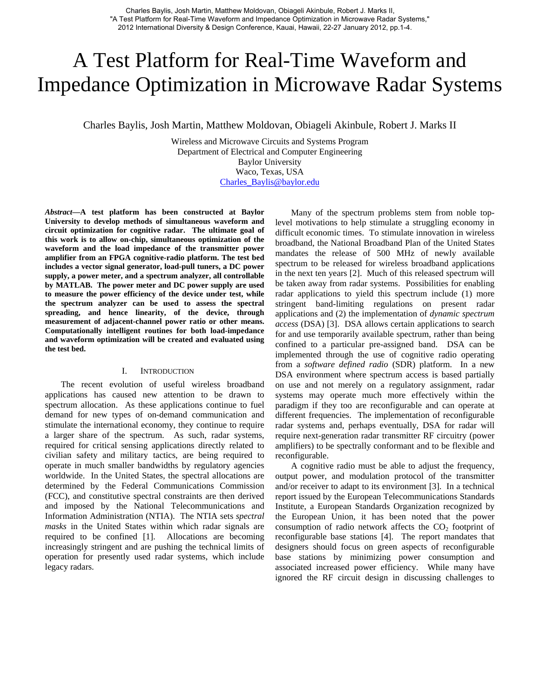# A Test Platform for Real-Time Waveform and Impedance Optimization in Microwave Radar Systems

Charles Baylis, Josh Martin, Matthew Moldovan, Obiageli Akinbule, Robert J. Marks II

Wireless and Microwave Circuits and Systems Program Department of Electrical and Computer Engineering Baylor University Waco, Texas, USA [Charles\\_Baylis@baylor.edu](mailto:Charles_Baylis@baylor.edu)

*Abstract***—A test platform has been constructed at Baylor University to develop methods of simultaneous waveform and circuit optimization for cognitive radar. The ultimate goal of this work is to allow on-chip, simultaneous optimization of the waveform and the load impedance of the transmitter power amplifier from an FPGA cognitive-radio platform. The test bed includes a vector signal generator, load-pull tuners, a DC power supply, a power meter, and a spectrum analyzer, all controllable by MATLAB. The power meter and DC power supply are used to measure the power efficiency of the device under test, while the spectrum analyzer can be used to assess the spectral spreading, and hence linearity, of the device, through measurement of adjacent-channel power ratio or other means. Computationally intelligent routines for both load-impedance and waveform optimization will be created and evaluated using the test bed.** 

## I. INTRODUCTION

The recent evolution of useful wireless broadband applications has caused new attention to be drawn to spectrum allocation. As these applications continue to fuel demand for new types of on-demand communication and stimulate the international economy, they continue to require a larger share of the spectrum. As such, radar systems, required for critical sensing applications directly related to civilian safety and military tactics, are being required to operate in much smaller bandwidths by regulatory agencies worldwide. In the United States, the spectral allocations are determined by the Federal Communications Commission (FCC), and constitutive spectral constraints are then derived and imposed by the National Telecommunications and Information Administration (NTIA). The NTIA sets *spectral masks* in the United States within which radar signals are required to be confined [1]. Allocations are becoming increasingly stringent and are pushing the technical limits of operation for presently used radar systems, which include legacy radars.

Many of the spectrum problems stem from noble toplevel motivations to help stimulate a struggling economy in difficult economic times. To stimulate innovation in wireless broadband, the National Broadband Plan of the United States mandates the release of 500 MHz of newly available spectrum to be released for wireless broadband applications in the next ten years [2]. Much of this released spectrum will be taken away from radar systems. Possibilities for enabling radar applications to yield this spectrum include (1) more stringent band-limiting regulations on present radar applications and (2) the implementation of *dynamic spectrum access* (DSA) [3]. DSA allows certain applications to search for and use temporarily available spectrum, rather than being confined to a particular pre-assigned band. DSA can be implemented through the use of cognitive radio operating from a *software defined radio* (SDR) platform. In a new DSA environment where spectrum access is based partially on use and not merely on a regulatory assignment, radar systems may operate much more effectively within the paradigm if they too are reconfigurable and can operate at different frequencies. The implementation of reconfigurable radar systems and, perhaps eventually, DSA for radar will require next-generation radar transmitter RF circuitry (power amplifiers) to be spectrally conformant and to be flexible and reconfigurable.

A cognitive radio must be able to adjust the frequency, output power, and modulation protocol of the transmitter and/or receiver to adapt to its environment [3]. In a technical report issued by the European Telecommunications Standards Institute, a European Standards Organization recognized by the European Union, it has been noted that the power consumption of radio network affects the  $CO<sub>2</sub>$  footprint of reconfigurable base stations [4]. The report mandates that designers should focus on green aspects of reconfigurable base stations by minimizing power consumption and associated increased power efficiency. While many have ignored the RF circuit design in discussing challenges to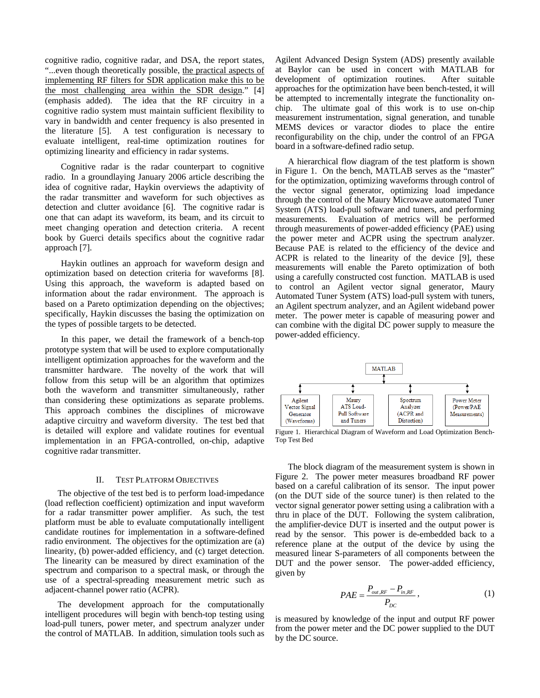cognitive radio, cognitive radar, and DSA, the report states, "...even though theoretically possible, the practical aspects of implementing RF filters for SDR application make this to be the most challenging area within the SDR design." [4] (emphasis added). The idea that the RF circuitry in a cognitive radio system must maintain sufficient flexibility to vary in bandwidth and center frequency is also presented in the literature [5]. A test configuration is necessary to evaluate intelligent, real-time optimization routines for optimizing linearity and efficiency in radar systems.

Cognitive radar is the radar counterpart to cognitive radio. In a groundlaying January 2006 article describing the idea of cognitive radar, Haykin overviews the adaptivity of the radar transmitter and waveform for such objectives as detection and clutter avoidance [6]. The cognitive radar is one that can adapt its waveform, its beam, and its circuit to meet changing operation and detection criteria. A recent book by Guerci details specifics about the cognitive radar approach [7].

Haykin outlines an approach for waveform design and optimization based on detection criteria for waveforms [8]. Using this approach, the waveform is adapted based on information about the radar environment. The approach is based on a Pareto optimization depending on the objectives; specifically, Haykin discusses the basing the optimization on the types of possible targets to be detected.

In this paper, we detail the framework of a bench-top prototype system that will be used to explore computationally intelligent optimization approaches for the waveform and the transmitter hardware. The novelty of the work that will follow from this setup will be an algorithm that optimizes both the waveform and transmitter simultaneously, rather than considering these optimizations as separate problems. This approach combines the disciplines of microwave adaptive circuitry and waveform diversity. The test bed that is detailed will explore and validate routines for eventual implementation in an FPGA-controlled, on-chip, adaptive cognitive radar transmitter.

## II. TEST PLATFORM OBJECTIVES

The objective of the test bed is to perform load-impedance (load reflection coefficient) optimization and input waveform for a radar transmitter power amplifier. As such, the test platform must be able to evaluate computationally intelligent candidate routines for implementation in a software-defined radio environment. The objectives for the optimization are (a) linearity, (b) power-added efficiency, and (c) target detection. The linearity can be measured by direct examination of the spectrum and comparison to a spectral mask, or through the use of a spectral-spreading measurement metric such as adjacent-channel power ratio (ACPR).

The development approach for the computationally intelligent procedures will begin with bench-top testing using load-pull tuners, power meter, and spectrum analyzer under the control of MATLAB. In addition, simulation tools such as

Agilent Advanced Design System (ADS) presently available at Baylor can be used in concert with MATLAB for development of optimization routines. After suitable approaches for the optimization have been bench-tested, it will be attempted to incrementally integrate the functionality onchip. The ultimate goal of this work is to use on-chip measurement instrumentation, signal generation, and tunable MEMS devices or varactor diodes to place the entire reconfigurability on the chip, under the control of an FPGA board in a software-defined radio setup.

A hierarchical flow diagram of the test platform is shown in Figure 1. On the bench, MATLAB serves as the "master" for the optimization, optimizing waveforms through control of the vector signal generator, optimizing load impedance through the control of the Maury Microwave automated Tuner System (ATS) load-pull software and tuners, and performing measurements. Evaluation of metrics will be performed through measurements of power-added efficiency (PAE) using the power meter and ACPR using the spectrum analyzer. Because PAE is related to the efficiency of the device and ACPR is related to the linearity of the device [9], these measurements will enable the Pareto optimization of both using a carefully constructed cost function. MATLAB is used to control an Agilent vector signal generator, Maury Automated Tuner System (ATS) load-pull system with tuners, an Agilent spectrum analyzer, and an Agilent wideband power meter. The power meter is capable of measuring power and can combine with the digital DC power supply to measure the power-added efficiency.



Figure 1. Hierarchical Diagram of Waveform and Load Optimization Bench-Top Test Bed

The block diagram of the measurement system is shown in Figure 2. The power meter measures broadband RF power based on a careful calibration of its sensor. The input power (on the DUT side of the source tuner) is then related to the vector signal generator power setting using a calibration with a thru in place of the DUT. Following the system calibration, the amplifier-device DUT is inserted and the output power is read by the sensor. This power is de-embedded back to a reference plane at the output of the device by using the measured linear S-parameters of all components between the DUT and the power sensor. The power-added efficiency, given by

$$
PAE = \frac{P_{out,RF} - P_{in,RF}}{P_{DC}},
$$
\n(1)

is measured by knowledge of the input and output RF power from the power meter and the DC power supplied to the DUT by the DC source.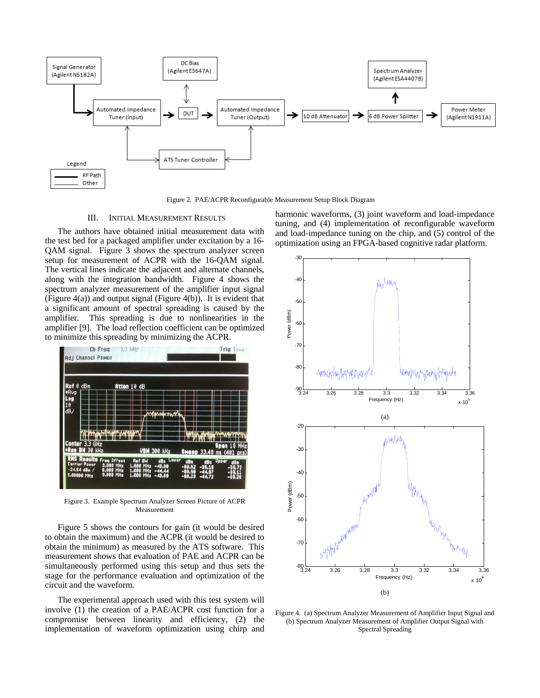

Figure 2. PAE/ACPR Reconfigurable Measurement Setup Block Diagram

### III. INITIAL MEASUREMENT RESULTS

The authors have obtained initial measurement data with the test bed for a packaged amplifier under excitation by a 16- QAM signal. Figure 3 shows the spectrum analyzer screen setup for measurement of ACPR with the 16-QAM signal. The vertical lines indicate the adjacent and alternate channels, along with the integration bandwidth. Figure 4 shows the spectrum analyzer measurement of the amplifier input signal (Figure 4(a)) and output signal (Figure 4(b)). It is evident that a significant amount of spectral spreading is caused by the amplifier. This spreading is due to nonlinearities in the amplifier [9]. The load reflection coefficient can be optimized to minimize this spreading by minimizing the ACPR.



Figure 3. Example Spectrum Analyzer Screen Picture of ACPR Measurement

Figure 5 shows the contours for gain (it would be desired to obtain the maximum) and the ACPR (it would be desired to obtain the minimum) as measured by the ATS software. This measurement shows that evaluation of PAE and ACPR can be simultaneously performed using this setup and thus sets the stage for the performance evaluation and optimization of the circuit and the waveform.

The experimental approach used with this test system will involve (1) the creation of a PAE/ACPR cost function for a compromise between linearity and efficiency, (2) the implementation of waveform optimization using chirp and

harmonic waveforms, (3) joint waveform and load-impedance tuning, and (4) implementation of reconfigurable waveform and load-impedance tuning on the chip, and (5) control of the optimization using an FPGA-based cognitive radar platform.



Figure 4. (a) Spectrum Analyzer Measurement of Amplifier Input Signal and (b) Spectrum Analyzer Measurement of Amplifier Output Signal with Spectral Spreading